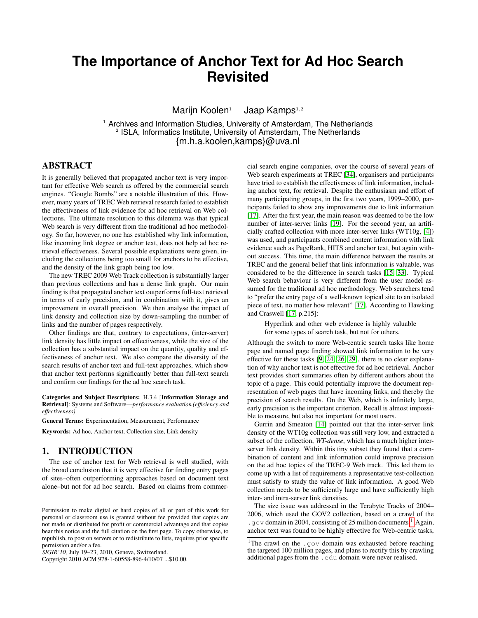# **The Importance of Anchor Text for Ad Hoc Search Revisited**

Marijn Koolen<sup>1</sup> Jaap Kamps<sup>1,2</sup>

 $1$  Archives and Information Studies, University of Amsterdam, The Netherlands <sup>2</sup> ISLA, Informatics Institute, University of Amsterdam, The Netherlands {m.h.a.koolen,kamps}@uva.nl

# ABSTRACT

It is generally believed that propagated anchor text is very important for effective Web search as offered by the commercial search engines. "Google Bombs" are a notable illustration of this. However, many years of TREC Web retrieval research failed to establish the effectiveness of link evidence for ad hoc retrieval on Web collections. The ultimate resolution to this dilemma was that typical Web search is very different from the traditional ad hoc methodology. So far, however, no one has established why link information, like incoming link degree or anchor text, does not help ad hoc retrieval effectiveness. Several possible explanations were given, including the collections being too small for anchors to be effective, and the density of the link graph being too low.

The new TREC 2009 Web Track collection is substantially larger than previous collections and has a dense link graph. Our main finding is that propagated anchor text outperforms full-text retrieval in terms of early precision, and in combination with it, gives an improvement in overall precision. We then analyse the impact of link density and collection size by down-sampling the number of links and the number of pages respectively.

Other findings are that, contrary to expectations, (inter-server) link density has little impact on effectiveness, while the size of the collection has a substantial impact on the quantity, quality and effectiveness of anchor text. We also compare the diversity of the search results of anchor text and full-text approaches, which show that anchor text performs significantly better than full-text search and confirm our findings for the ad hoc search task.

Categories and Subject Descriptors: H.3.4 [Information Storage and Retrieval]: Systems and Software—*performance evaluation (efficiency and effectiveness)*

General Terms: Experimentation, Measurement, Performance

Keywords: Ad hoc, Anchor text, Collection size, Link density

## 1. INTRODUCTION

The use of anchor text for Web retrieval is well studied, with the broad conclusion that it is very effective for finding entry pages of sites–often outperforming approaches based on document text alone–but not for ad hoc search. Based on claims from commer-

Copyright 2010 ACM 978-1-60558-896-4/10/07 ...\$10.00.

cial search engine companies, over the course of several years of Web search experiments at TREC [\[34\]](#page-7-0), organisers and participants have tried to establish the effectiveness of link information, including anchor text, for retrieval. Despite the enthusiasm and effort of many participating groups, in the first two years, 1999–2000, participants failed to show any improvements due to link information [\[17\]](#page-7-1). After the first year, the main reason was deemed to be the low number of inter-server links [\[19\]](#page-7-2). For the second year, an artificially crafted collection with more inter-server links (WT10g, [\[4\]](#page-7-3)) was used, and participants combined content information with link evidence such as PageRank, HITS and anchor text, but again without success. This time, the main difference between the results at TREC and the general belief that link information is valuable, was considered to be the difference in search tasks [\[15,](#page-7-4) [33\]](#page-7-5). Typical Web search behaviour is very different from the user model assumed for the traditional ad hoc methodology. Web searchers tend to "prefer the entry page of a well-known topical site to an isolated piece of text, no matter how relevant" [\[17\]](#page-7-1). According to Hawking and Craswell [\[17,](#page-7-1) p.215]:

Hyperlink and other web evidence is highly valuable for some types of search task, but not for others.

Although the switch to more Web-centric search tasks like home page and named page finding showed link information to be very effective for these tasks [\[9,](#page-7-6) [24,](#page-7-7) [26,](#page-7-8) [29\]](#page-7-9), there is no clear explanation of why anchor text is not effective for ad hoc retrieval. Anchor text provides short summaries often by different authors about the topic of a page. This could potentially improve the document representation of web pages that have incoming links, and thereby the precision of search results. On the Web, which is infinitely large, early precision is the important criterion. Recall is almost impossible to measure, but also not important for most users.

Gurrin and Smeaton [\[14\]](#page-7-10) pointed out that the inter-server link density of the WT10g collection was still very low, and extracted a subset of the collection, *WT-dense*, which has a much higher interserver link density. Within this tiny subset they found that a combination of content and link information could improve precision on the ad hoc topics of the TREC-9 Web track. This led them to come up with a list of requirements a representative test-collection must satisfy to study the value of link information. A good Web collection needs to be sufficiently large and have sufficiently high inter- and intra-server link densities.

The size issue was addressed in the Terabyte Tracks of 2004– 2006, which used the GOV2 collection, based on a crawl of the . gov domain in 2004, consisting of 25 million documents.<sup>[1](#page-0-0)</sup> Again, anchor text was found to be highly effective for Web-centric tasks,

Permission to make digital or hard copies of all or part of this work for personal or classroom use is granted without fee provided that copies are not made or distributed for profit or commercial advantage and that copies bear this notice and the full citation on the first page. To copy otherwise, to republish, to post on servers or to redistribute to lists, requires prior specific permission and/or a fee.

*SIGIR'10,* July 19–23, 2010, Geneva, Switzerland.

<span id="page-0-0"></span><sup>&</sup>lt;sup>1</sup>The crawl on the .gov domain was exhausted before reaching the targeted 100 million pages, and plans to rectify this by crawling additional pages from the .edu domain were never realised.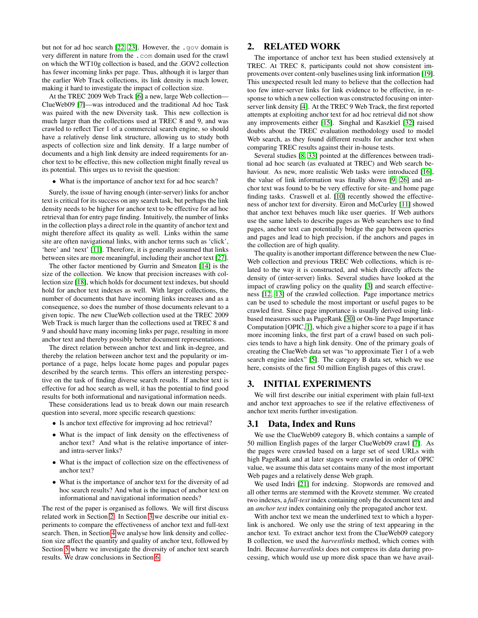but not for ad hoc search [\[22,](#page-7-11) [23\]](#page-7-12). However, the .gov domain is very different in nature from the .com domain used for the crawl on which the WT10g collection is based, and the .GOV2 collection has fewer incoming links per page. Thus, although it is larger than the earlier Web Track collections, its link density is much lower, making it hard to investigate the impact of collection size.

At the TREC 2009 Web Track [\[6\]](#page-7-13) a new, large Web collection— ClueWeb09 [\[7\]](#page-7-14)—was introduced and the traditional Ad hoc Task was paired with the new Diversity task. This new collection is much larger than the collections used at TREC 8 and 9, and was crawled to reflect Tier 1 of a commercial search engine, so should have a relatively dense link structure, allowing us to study both aspects of collection size and link density. If a large number of documents and a high link density are indeed requirements for anchor text to be effective, this new collection might finally reveal us its potential. This urges us to revisit the question:

• What is the importance of anchor text for ad hoc search?

Surely, the issue of having enough (inter-server) links for anchor text is critical for its success on any search task, but perhaps the link density needs to be higher for anchor text to be effective for ad hoc retrieval than for entry page finding. Intuitively, the number of links in the collection plays a direct role in the quantity of anchor text and might therefore affect its quality as well. Links within the same site are often navigational links, with anchor terms such as 'click', 'here' and 'next' [\[11\]](#page-7-15). Therefore, it is generally assumed that links between sites are more meaningful, including their anchor text [\[27\]](#page-7-16).

The other factor mentioned by Gurrin and Smeaton [\[14\]](#page-7-10) is the size of the collection. We know that precision increases with collection size [\[18\]](#page-7-17), which holds for document text indexes, but should hold for anchor text indexes as well. With larger collections, the number of documents that have incoming links increases and as a consequence, so does the number of those documents relevant to a given topic. The new ClueWeb collection used at the TREC 2009 Web Track is much larger than the collections used at TREC 8 and 9 and should have many incoming links per page, resulting in more anchor text and thereby possibly better document representations.

The direct relation between anchor text and link in-degree, and thereby the relation between anchor text and the popularity or importance of a page, helps locate home pages and popular pages described by the search terms. This offers an interesting perspective on the task of finding diverse search results. If anchor text is effective for ad hoc search as well, it has the potential to find good results for both informational and navigational information needs.

These considerations lead us to break down our main research question into several, more specific research questions:

- Is anchor text effective for improving ad hoc retrieval?
- What is the impact of link density on the effectiveness of anchor text? And what is the relative importance of interand intra-server links?
- What is the impact of collection size on the effectiveness of anchor text?
- What is the importance of anchor text for the diversity of ad hoc search results? And what is the impact of anchor text on informational and navigational information needs?

The rest of the paper is organised as follows. We will first discuss related work in Section [2.](#page-1-0) In Section [3](#page-1-1) we describe our initial experiments to compare the effectiveness of anchor text and full-text search. Then, in Section [4](#page-3-0) we analyse how link density and collection size affect the quantity and quality of anchor text, followed by Section [5](#page-5-0) where we investigate the diversity of anchor text search results. We draw conclusions in Section [6.](#page-6-0)

## <span id="page-1-0"></span>2. RELATED WORK

The importance of anchor text has been studied extensively at TREC. At TREC 8, participants could not show consistent improvements over content-only baselines using link information [\[19\]](#page-7-2). This unexpected result led many to believe that the collection had too few inter-server links for link evidence to be effective, in response to which a new collection was constructed focusing on interserver link density [\[4\]](#page-7-3). At the TREC 9 Web Track, the first reported attempts at exploiting anchor text for ad hoc retrieval did not show any improvements either [\[15\]](#page-7-4). Singhal and Kaszkiel [\[32\]](#page-7-18) raised doubts about the TREC evaluation methodology used to model Web search, as they found different results for anchor text when comparing TREC results against their in-house tests.

Several studies [\[8,](#page-7-19) [33\]](#page-7-5) pointed at the differences between traditional ad hoc search (as evaluated at TREC) and Web search behaviour. As new, more realistic Web tasks were introduced [\[16\]](#page-7-20), the value of link information was finally shown [\[9,](#page-7-6) [26\]](#page-7-8) and anchor text was found to be be very effective for site- and home page finding tasks. Craswell et al. [\[10\]](#page-7-21) recently showed the effectiveness of anchor text for diversity. Eiron and McCurley [\[11\]](#page-7-15) showed that anchor text behaves much like user queries. If Web authors use the same labels to describe pages as Web searchers use to find pages, anchor text can potentially bridge the gap between queries and pages and lead to high precision, if the anchors and pages in the collection are of high quality.

The quality is another important difference between the new Clue-Web collection and previous TREC Web collections, which is related to the way it is constructed, and which directly affects the density of (inter-server) links. Several studies have looked at the impact of crawling policy on the quality [\[3\]](#page-7-22) and search effectiveness [\[12,](#page-7-23) [13\]](#page-7-24) of the crawled collection. Page importance metrics can be used to schedule the most important or useful pages to be crawled first. Since page importance is usually derived using linkbased measures such as PageRank [\[30\]](#page-7-25) or On-line Page Importance Computation [OPIC, [1\]](#page-7-26), which give a higher score to a page if it has more incoming links, the first part of a crawl based on such policies tends to have a high link density. One of the primary goals of creating the ClueWeb data set was "to approximate Tier 1 of a web search engine index" [\[5\]](#page-7-27). The category B data set, which we use here, consists of the first 50 million English pages of this crawl.

#### <span id="page-1-1"></span>3. INITIAL EXPERIMENTS

We will first describe our initial experiment with plain full-text and anchor text approaches to see if the relative effectiveness of anchor text merits further investigation.

### 3.1 Data, Index and Runs

We use the ClueWeb09 category B, which contains a sample of 50 million English pages of the larger ClueWeb09 crawl [\[7\]](#page-7-14). As the pages were crawled based on a large set of seed URLs with high PageRank and at later stages were crawled in order of OPIC value, we assume this data set contains many of the most important Web pages and a relatively dense Web graph.

We used Indri [\[21\]](#page-7-28) for indexing. Stopwords are removed and all other terms are stemmed with the Krovetz stemmer. We created two indexes, a *full-text* index containing only the document text and an *anchor text* index containing only the propagated anchor text.

With anchor text we mean the underlined text to which a hyperlink is anchored. We only use the string of text appearing in the anchor text. To extract anchor text from the ClueWeb09 category B collection, we used the *harvestlinks* method, which comes with Indri. Because *harvestlinks* does not compress its data during processing, which would use up more disk space than we have avail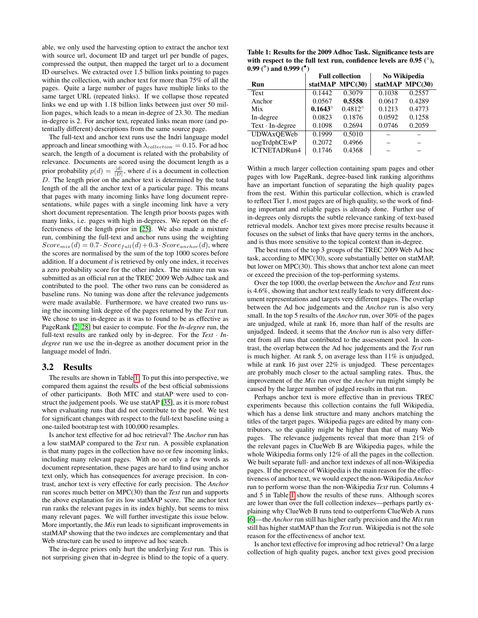able, we only used the harvesting option to extract the anchor text with source url, document ID and target url per bundle of pages, compressed the output, then mapped the target url to a document ID ourselves. We extracted over 1.5 billion links pointing to pages within the collection, with anchor text for more than 75% of all the pages. Quite a large number of pages have multiple links to the same target URL (repeated links). If we collapse those repeated links we end up with 1.18 billion links between just over 50 million pages, which leads to a mean in-degree of 23.30. The median in-degree is 2. For anchor text, repeated links mean more (and potentially different) descriptions from the same source page.

The full-text and anchor text runs use the Indri language model approach and linear smoothing with  $\lambda_{collection} = 0.15$ . For ad hoc search, the length of a document is related with the probability of relevance. Documents are scored using the document length as a prior probability  $p(d) = \frac{|d|}{|D|}$ , where d is a document in collection D. The length prior on the anchor text is determined by the total length of the all the anchor text of a particular page. This means that pages with many incoming links have long document representations, while pages with a single incoming link have a very short document representation. The length prior boosts pages with many links, i.e. pages with high in-degrees. We report on the effectiveness of the length prior in [\[25\]](#page-7-29). We also made a mixture run, combining the full-text and anchor runs using the weighting  $Score_{mix}(d) = 0.7 \cdot Score_{full}(d) + 0.3 \cdot Score_{anchor}(d)$ , where the scores are normalised by the sum of the top 1000 scores before addition. If a document  $d$  is retrieved by only one index, it receives a zero probability score for the other index. The mixture run was submitted as an official run at the TREC 2009 Web Adhoc task and contributed to the pool. The other two runs can be considered as baseline runs. No tuning was done after the relevance judgements were made available. Furthermore, we have created two runs using the incoming link degree of the pages returned by the *Text* run. We chose to use in-degree as it was to found to be as effective as PageRank [\[2,](#page-7-30) [28\]](#page-7-31) but easier to compute. For the *In-degree* run, the full-text results are ranked only by in-degree. For the *Text* · *Indegree* run we use the in-degree as another document prior in the language model of Indri.

#### 3.2 Results

The results are shown in Table [1.](#page-2-0) To put this into perspective, we compared them against the results of the best official submissions of other participants. Both MTC and statAP were used to construct the judgement pools. We use statAP [\[35\]](#page-7-32), as it is more robust when evaluating runs that did not contribute to the pool. We test for significant changes with respect to the full-text baseline using a one-tailed bootstrap test with 100,000 resamples.

Is anchor text effective for ad hoc retrieval? The *Anchor* run has a low statMAP compared to the *Text* run. A possible explanation is that many pages in the collection have no or few incoming links, including many relevant pages. With no or only a few words as document representation, these pages are hard to find using anchor text only, which has consequences for average precision. In contrast, anchor text is very effective for early precision. The *Anchor* run scores much better on MPC(30) than the *Text* run and supports the above explanation for its low statMAP score. The anchor text run ranks the relevant pages in its index highly, but seems to miss many relevant pages. We will further investigate this issue below. More importantly, the *Mix* run leads to significant improvements in statMAP showing that the two indexes are complementary and that Web structure can be used to improve ad hoc search.

The in-degree priors only hurt the underlying *Text* run. This is not surprising given that in-degree is blind to the topic of a query.

<span id="page-2-0"></span>Table 1: Results for the 2009 Adhoc Task. Significance tests are with respect to the full text run, confidence levels are  $0.95$  ( $^{\circ}$ ),  $0.99$  ( $^{\circ}$ ) and  $0.999$  ( $^{\bullet}$ )

| <b>Full collection</b> |                  | No Wikipedia    |                 |  |  |  |  |
|------------------------|------------------|-----------------|-----------------|--|--|--|--|
|                        |                  |                 | statMAP MPC(30) |  |  |  |  |
| 0.1442                 | 0.3079           | 0.1038          | 0.2557          |  |  |  |  |
| 0.0567                 | 0.5558           | 0.0617          | 0.4289          |  |  |  |  |
| $0.1643^{\circ}$       | $0.4812^{\circ}$ | 0.1213          | 0.4773          |  |  |  |  |
| 0.0823                 | 0.1876           | 0.0592          | 0.1258          |  |  |  |  |
| 0.1098                 | 0.2694           | 0.0746          | 0.2059          |  |  |  |  |
| 0.1999                 | 0.5010           |                 |                 |  |  |  |  |
| 0.2072                 | 0.4966           |                 |                 |  |  |  |  |
| 0.1746                 | 0.4368           |                 |                 |  |  |  |  |
|                        |                  | statMAP MPC(30) |                 |  |  |  |  |

Within a much larger collection containing spam pages and other pages with low PageRank, degree-based link ranking algorithms have an important function of separating the high quality pages from the rest. Within this particular collection, which is crawled to reflect Tier 1, most pages are of high quality, so the work of finding important and reliable pages is already done. Further use of in-degrees only disrupts the subtle relevance ranking of text-based retrieval models. Anchor text gives more precise results because it focuses on the subset of links that have query terms in the anchors, and is thus more sensitive to the topical context than in-degree.

The best runs of the top 3 groups of the TREC 2009 Web Ad hoc task, according to MPC(30), score substantially better on statMAP, but lower on MPC(30). This shows that anchor text alone can meet or exceed the precision of the top-performing systems.

Over the top 1000, the overlap between the *Anchor* and *Text* runs is 4.6%, showing that anchor text really leads to very different document representations and targets very different pages. The overlap between the Ad hoc judgements and the *Anchor* run is also very small. In the top 5 results of the *Anchor* run, over 30% of the pages are unjudged, while at rank 16, more than half of the results are unjudged. Indeed, it seems that the *Anchor* run is also very different from all runs that contributed to the assessment pool. In contrast, the overlap between the Ad hoc judgements and the *Text* run is much higher. At rank 5, on average less than 11% is unjudged, while at rank 16 just over 22% is unjudged. These percentages are probably much closer to the actual sampling rates. Thus, the improvement of the *Mix* run over the *Anchor* run might simply be caused by the larger number of judged results in that run.

Perhaps anchor text is more effective than in previous TREC experiments because this collection contains the full Wikipedia, which has a dense link structure and many anchors matching the titles of the target pages. Wikipedia pages are edited by many contributors, so the quality might be higher than that of many Web pages. The relevance judgements reveal that more than 21% of the relevant pages in ClueWeb B are Wikipedia pages, while the whole Wikipedia forms only 12% of all the pages in the collection. We built separate full- and anchor text indexes of all non-Wikipedia pages. If the presence of Wikipedia is the main reason for the effectiveness of anchor text, we would expect the non-Wikipedia *Anchor* run to perform worse than the non-Wikipedia *Text* run. Columns 4 and 5 in Table [1](#page-2-0) show the results of these runs. Although scores are lower than over the full collection indexes—perhaps partly explaining why ClueWeb B runs tend to outperform ClueWeb A runs [\[6\]](#page-7-13)—the *Anchor* run still has higher early precision and the *Mix* run still has higher statMAP than the *Text* run. Wikipedia is not the sole reason for the effectiveness of anchor text.

Is anchor text effective for improving ad hoc retrieval? On a large collection of high quality pages, anchor text gives good precision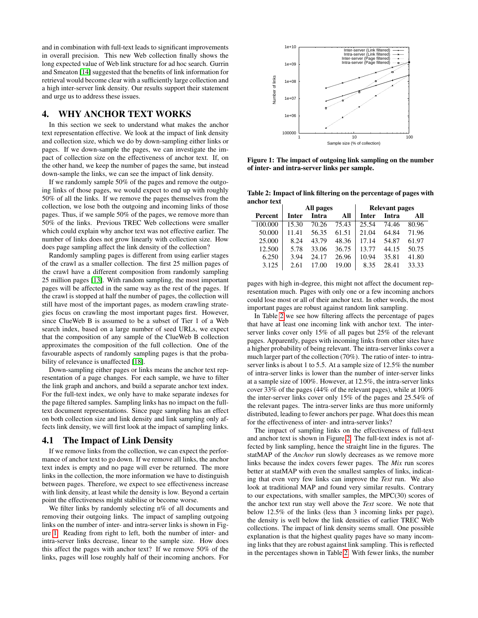and in combination with full-text leads to significant improvements in overall precision. This new Web collection finally shows the long expected value of Web link structure for ad hoc search. Gurrin and Smeaton [\[14\]](#page-7-10) suggested that the benefits of link information for retrieval would become clear with a sufficiently large collection and a high inter-server link density. Our results support their statement and urge us to address these issues.

## <span id="page-3-0"></span>4. WHY ANCHOR TEXT WORKS

In this section we seek to understand what makes the anchor text representation effective. We look at the impact of link density and collection size, which we do by down-sampling either links or pages. If we down-sample the pages, we can investigate the impact of collection size on the effectiveness of anchor text. If, on the other hand, we keep the number of pages the same, but instead down-sample the links, we can see the impact of link density.

If we randomly sample 50% of the pages and remove the outgoing links of those pages, we would expect to end up with roughly 50% of all the links. If we remove the pages themselves from the collection, we lose both the outgoing and incoming links of those pages. Thus, if we sample 50% of the pages, we remove more than 50% of the links. Previous TREC Web collections were smaller which could explain why anchor text was not effective earlier. The number of links does not grow linearly with collection size. How does page sampling affect the link density of the collection?

Randomly sampling pages is different from using earlier stages of the crawl as a smaller collection. The first 25 million pages of the crawl have a different composition from randomly sampling 25 million pages [\[13\]](#page-7-24). With random sampling, the most important pages will be affected in the same way as the rest of the pages. If the crawl is stopped at half the number of pages, the collection will still have most of the important pages, as modern crawling strategies focus on crawling the most important pages first. However, since ClueWeb B is assumed to be a subset of Tier 1 of a Web search index, based on a large number of seed URLs, we expect that the composition of any sample of the ClueWeb B collection approximates the composition of the full collection. One of the favourable aspects of randomly sampling pages is that the proba-bility of relevance is unaffected [\[18\]](#page-7-17).

Down-sampling either pages or links means the anchor text representation of a page changes. For each sample, we have to filter the link graph and anchors, and build a separate anchor text index. For the full-text index, we only have to make separate indexes for the page filtered samples. Sampling links has no impact on the fulltext document representations. Since page sampling has an effect on both collection size and link density and link sampling only affects link density, we will first look at the impact of sampling links.

#### 4.1 The Impact of Link Density

If we remove links from the collection, we can expect the performance of anchor text to go down. If we remove all links, the anchor text index is empty and no page will ever be returned. The more links in the collection, the more information we have to distinguish between pages. Therefore, we expect to see effectiveness increase with link density, at least while the density is low. Beyond a certain point the effectiveness might stabilise or become worse.

We filter links by randomly selecting n% of all documents and removing their outgoing links. The impact of sampling outgoing links on the number of inter- and intra-server links is shown in Figure [1.](#page-3-1) Reading from right to left, both the number of inter- and intra-server links decrease, linear to the sample size. How does this affect the pages with anchor text? If we remove 50% of the links, pages will lose roughly half of their incoming anchors. For



<span id="page-3-1"></span>Figure 1: The impact of outgoing link sampling on the number of inter- and intra-server links per sample.

<span id="page-3-2"></span>Table 2: Impact of link filtering on the percentage of pages with anchor text

|                | All pages    |       |       | <b>Relevant pages</b> |              |       |  |
|----------------|--------------|-------|-------|-----------------------|--------------|-------|--|
| <b>Percent</b> | <b>Inter</b> | Intra | All   | <b>Inter</b>          | <b>Intra</b> | All   |  |
| 100.000        | 15.30        | 70.26 | 75.43 | 25.54                 | 74.46        | 80.96 |  |
| 50.000         | 11.41        | 56.35 | 61.51 | 21.04                 | 64.84        | 71.96 |  |
| 25.000         | 8.24         | 43.79 | 48.36 | 17.14                 | 54.87        | 61.97 |  |
| 12.500         | 5.78         | 33.06 | 36.75 | 13.77                 | 44.15        | 50.75 |  |
| 6.250          | 3.94         | 24.17 | 26.96 | 10.94                 | 35.81        | 41.80 |  |
| 3.125          | 2.61         | 17.00 | 19.00 | 8.35                  | 28.41        | 33.33 |  |
|                |              |       |       |                       |              |       |  |

pages with high in-degree, this might not affect the document representation much. Pages with only one or a few incoming anchors could lose most or all of their anchor text. In other words, the most important pages are robust against random link sampling.

In Table [2](#page-3-2) we see how filtering affects the percentage of pages that have at least one incoming link with anchor text. The interserver links cover only 15% of all pages but 25% of the relevant pages. Apparently, pages with incoming links from other sites have a higher probability of being relevant. The intra-server links cover a much larger part of the collection (70%). The ratio of inter- to intraserver links is about 1 to 5.5. At a sample size of 12.5% the number of intra-server links is lower than the number of inter-server links at a sample size of 100%. However, at 12.5%, the intra-server links cover 33% of the pages (44% of the relevant pages), while at 100% the inter-server links cover only 15% of the pages and 25.54% of the relevant pages. The intra-server links are thus more uniformly distributed, leading to fewer anchors per page. What does this mean for the effectiveness of inter- and intra-server links?

The impact of sampling links on the effectiveness of full-text and anchor text is shown in Figure [2.](#page-4-0) The full-text index is not affected by link sampling, hence the straight line in the figures. The statMAP of the *Anchor* run slowly decreases as we remove more links because the index covers fewer pages. The *Mix* run scores better at statMAP with even the smallest samples of links, indicating that even very few links can improve the *Text* run. We also look at traditional MAP and found very similar results. Contrary to our expectations, with smaller samples, the MPC(30) scores of the anchor text run stay well above the *Text* score. We note that below 12.5% of the links (less than 3 incoming links per page), the density is well below the link densities of earlier TREC Web collections. The impact of link density seems small. One possible explanation is that the highest quality pages have so many incoming links that they are robust against link sampling. This is reflected in the percentages shown in Table [2.](#page-3-2) With fewer links, the number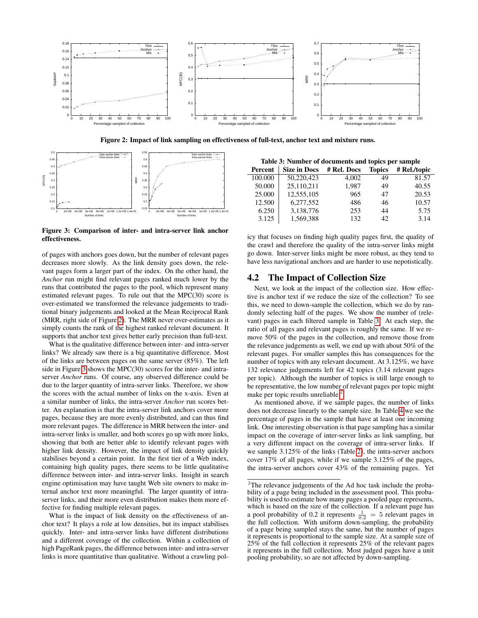

<span id="page-4-0"></span>Figure 2: Impact of link sampling on effectiveness of full-text, anchor text and mixture runs.



<span id="page-4-1"></span>Figure 3: Comparison of inter- and intra-server link anchor effectiveness.

of pages with anchors goes down, but the number of relevant pages decreases more slowly. As the link density goes down, the relevant pages form a larger part of the index. On the other hand, the *Anchor* run might find relevant pages ranked much lower by the runs that contributed the pages to the pool, which represent many estimated relevant pages. To rule out that the MPC(30) score is over-estimated we transformed the relevance judgements to traditional binary judgements and looked at the Mean Reciprocal Rank (MRR, right side of Figure [2\)](#page-4-0). The MRR never over-estimates as it simply counts the rank of the highest ranked relevant document. It supports that anchor text gives better early precision than full-text.

What is the qualitative difference between inter- and intra-server links? We already saw there is a big quantitative difference. Most of the links are between pages on the same server (85%). The left side in Figure [3](#page-4-1) shows the MPC(30) scores for the inter- and intraserver *Anchor* runs. Of course, any observed difference could be due to the larger quantity of intra-server links. Therefore, we show the scores with the actual number of links on the x-axis. Even at a similar number of links, the intra-server *Anchor* run scores better. An explanation is that the intra-server link anchors cover more pages, because they are more evenly distributed, and can thus find more relevant pages. The difference in MRR between the inter- and intra-server links is smaller, and both scores go up with more links, showing that both are better able to identify relevant pages with higher link density. However, the impact of link density quickly stabilises beyond a certain point. In the first tier of a Web index, containing high quality pages, there seems to be little qualitative difference between inter- and intra-server links. Insight in search engine optimisation may have taught Web site owners to make internal anchor text more meaningful. The larger quantity of intraserver links, and their more even distribution makes them more effective for finding multiple relevant pages.

What is the impact of link density on the effectiveness of anchor text? It plays a role at low densities, but its impact stabilises quickly. Inter- and intra-server links have different distributions and a different coverage of the collection. Within a collection of high PageRank pages, the difference between inter- and intra-server links is more quantitative than qualitative. Without a crawling pol-

<span id="page-4-2"></span>Table 3: Number of documents and topics per sample

| Percent | <b>Size in Docs</b> | # Rel. Docs | <b>Topics</b> | # Rel./topic |
|---------|---------------------|-------------|---------------|--------------|
| 100.000 | 50,220,423          | 4,002       | 49            | 81.57        |
| 50.000  | 25,110,211          | 1,987       | 49            | 40.55        |
| 25.000  | 12,555,105          | 965         | 47            | 20.53        |
| 12.500  | 6.277.552           | 486         | 46            | 10.57        |
| 6.250   | 3,138,776           | 253         | 44            | 5.75         |
| 3.125   | 1,569,388           | 132         | 42            | 3.14         |
|         |                     |             |               |              |

icy that focuses on finding high quality pages first, the quality of the crawl and therefore the quality of the intra-server links might go down. Inter-server links might be more robust, as they tend to have less navigational anchors and are harder to use nepotistically.

#### 4.2 The Impact of Collection Size

Next, we look at the impact of the collection size. How effective is anchor text if we reduce the size of the collection? To see this, we need to down-sample the collection, which we do by randomly selecting half of the pages. We show the number of (relevant) pages in each filtered sample in Table [3.](#page-4-2) At each step, the ratio of all pages and relevant pages is roughly the same. If we remove 50% of the pages in the collection, and remove those from the relevance judgements as well, we end up with about 50% of the relevant pages. For smaller samples this has consequences for the number of topics with any relevant document. At 3.125%, we have 132 relevance judgements left for 42 topics (3.14 relevant pages per topic). Although the number of topics is still large enough to be representative, the low number of relevant pages per topic might make per topic results unreliable.<sup>[2](#page-4-3)</sup>

As mentioned above, if we sample pages, the number of links does not decrease linearly to the sample size. In Table [4](#page-5-1) we see the percentage of pages in the sample that have at least one incoming link. One interesting observation is that page sampling has a similar impact on the coverage of inter-server links as link sampling, but a very different impact on the coverage of intra-server links. If we sample 3.125% of the links (Table [2\)](#page-3-2), the intra-server anchors cover 17% of all pages, while if we sample 3.125% of the pages, the intra-server anchors cover 43% of the remaining pages. Yet

<span id="page-4-3"></span><sup>&</sup>lt;sup>2</sup>The relevance judgements of the Ad hoc task include the probability of a page being included in the assessment pool. This probability is used to estimate how many pages a pooled page represents, which is based on the size of the collection. If a relevant page has a pool probability of 0.2 it represents  $\frac{1}{0.2}$  = 5 relevant pages in the full collection. With uniform down-sampling, the probability of a page being sampled stays the same, but the number of pages it represents is proportional to the sample size. At a sample size of 25% of the full collection it represents 25% of the relevant pages it represents in the full collection. Most judged pages have a unit pooling probability, so are not affected by down-sampling.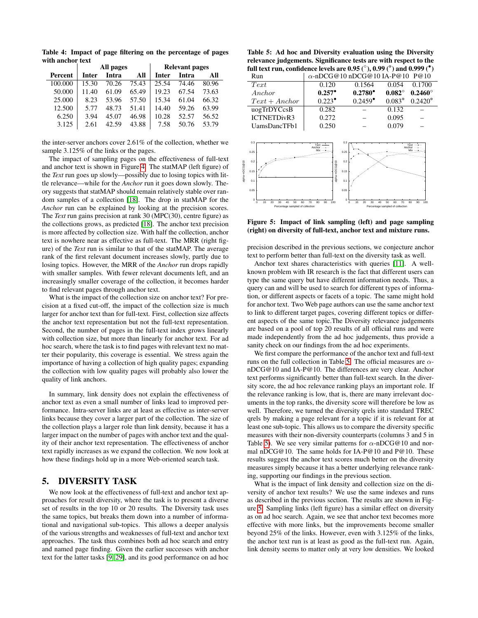<span id="page-5-1"></span>Table 4: Impact of page filtering on the percentage of pages with anchor text

|         | All pages    |       |       | <b>Relevant pages</b> |              |       |  |
|---------|--------------|-------|-------|-----------------------|--------------|-------|--|
| Percent | <b>Inter</b> | Intra | All   | <b>Inter</b>          | <b>Intra</b> | All   |  |
| 100,000 | 15.30        | 70.26 | 75.43 | 25.54                 | 74.46        | 80.96 |  |
| 50.000  | 11.40        | 61.09 | 65.49 | 19.23                 | 67.54        | 73.63 |  |
| 25.000  | 8.23         | 53.96 | 57.50 | 15.34                 | 61.04        | 66.32 |  |
| 12.500  | 5.77         | 48.73 | 51.41 | 14.40                 | 59.26        | 63.99 |  |
| 6.250   | 3.94         | 45.07 | 46.98 | 10.28                 | 52.57        | 56.52 |  |
| 3.125   | 2.61         | 42.59 | 43.88 | 7.58                  | 50.76        | 53.79 |  |

the inter-server anchors cover 2.61% of the collection, whether we sample 3.125% of the links or the pages.

The impact of sampling pages on the effectiveness of full-text and anchor text is shown in Figure [4.](#page-6-1) The statMAP (left figure) of the *Text* run goes up slowly—possibly due to losing topics with little relevance—while for the *Anchor* run it goes down slowly. Theory suggests that statMAP should remain relatively stable over random samples of a collection [\[18\]](#page-7-17). The drop in statMAP for the *Anchor* run can be explained by looking at the precision scores. The *Text* run gains precision at rank 30 (MPC(30), centre figure) as the collections grows, as predicted [\[18\]](#page-7-17). The anchor text precision is more affected by collection size. With half the collection, anchor text is nowhere near as effective as full-text. The MRR (right figure) of the *Text* run is similar to that of the statMAP. The average rank of the first relevant document increases slowly, partly due to losing topics. However, the MRR of the *Anchor* run drops rapidly with smaller samples. With fewer relevant documents left, and an increasingly smaller coverage of the collection, it becomes harder to find relevant pages through anchor text.

What is the impact of the collection size on anchor text? For precision at a fixed cut-off, the impact of the collection size is much larger for anchor text than for full-text. First, collection size affects the anchor text representation but not the full-text representation. Second, the number of pages in the full-text index grows linearly with collection size, but more than linearly for anchor text. For ad hoc search, where the task is to find pages with relevant text no matter their popularity, this coverage is essential. We stress again the importance of having a collection of high quality pages; expanding the collection with low quality pages will probably also lower the quality of link anchors.

In summary, link density does not explain the effectiveness of anchor text as even a small number of links lead to improved performance. Intra-server links are at least as effective as inter-server links because they cover a larger part of the collection. The size of the collection plays a larger role than link density, because it has a larger impact on the number of pages with anchor text and the quality of their anchor text representation. The effectiveness of anchor text rapidly increases as we expand the collection. We now look at how these findings hold up in a more Web-oriented search task.

# <span id="page-5-0"></span>5. DIVERSITY TASK

We now look at the effectiveness of full-text and anchor text approaches for result diversity, where the task is to present a diverse set of results in the top 10 or 20 results. The Diversity task uses the same topics, but breaks them down into a number of informational and navigational sub-topics. This allows a deeper analysis of the various strengths and weaknesses of full-text and anchor text approaches. The task thus combines both ad hoc search and entry and named page finding. Given the earlier successes with anchor text for the latter tasks [\[9,](#page-7-6) [29\]](#page-7-9), and its good performance on ad hoc

<span id="page-5-2"></span>Table 5: Ad hoc and Diversity evaluation using the Diversity relevance judgements. Significance tests are with respect to the full text run, confidence levels are 0.95  $(°)$ , 0.99  $(°)$  and 0.999  $(°)$ 

| Run                | $\alpha$ -nDCG@10 nDCG@10 IA-P@10 P@10 |                  |               |                                  |
|--------------------|----------------------------------------|------------------|---------------|----------------------------------|
| Text               | 0.120                                  | 0.1564           | 0.054         | 0.1700                           |
| Anchor             | $0.257^{\circ}$                        | $0.2780^{\circ}$ | $0.082^\circ$ | $0.2460^\circ$                   |
| $Text + Anchor$    | $0.223^{\circ}$                        | $0.2459^{\circ}$ |               | $0.083^{\circ}$ $0.2420^{\circ}$ |
| uogTrDYCcsB        | 0.282                                  |                  | 0.132         |                                  |
| <b>ICTNETDivR3</b> | 0.272                                  |                  | 0.095         |                                  |
| UamsDancTFb1       | 0.250                                  |                  | 0.079         |                                  |



Figure 5: Impact of link sampling (left) and page sampling (right) on diversity of full-text, anchor text and mixture runs.

precision described in the previous sections, we conjecture anchor text to perform better than full-text on the diversity task as well.

Anchor text shares characteristics with queries [\[11\]](#page-7-15). A wellknown problem with IR research is the fact that different users can type the same query but have different information needs. Thus, a query can and will be used to search for different types of information, or different aspects or facets of a topic. The same might hold for anchor text. Two Web page authors can use the same anchor text to link to different target pages, covering different topics or different aspects of the same topic.The Diversity relevance judgements are based on a pool of top 20 results of all official runs and were made independently from the ad hoc judgements, thus provide a sanity check on our findings from the ad hoc experiments.

We first compare the performance of the anchor text and full-text runs on the full collection in Table [5.](#page-5-2) The official measures are  $\alpha$ nDCG@10 and IA-P@10. The differences are very clear. Anchor text performs significantly better than full-text search. In the diversity score, the ad hoc relevance ranking plays an important role. If the relevance ranking is low, that is, there are many irrelevant documents in the top ranks, the diversity score will therefore be low as well. Therefore, we turned the diversity qrels into standard TREC qrels by making a page relevant for a topic if it is relevant for at least one sub-topic. This allows us to compare the diversity specific measures with their non-diversity counterparts (columns 3 and 5 in Table [5\)](#page-5-2). We see very similar patterns for  $\alpha$ -nDCG@10 and normal nDCG@10. The same holds for IA-P@10 and P@10. These results suggest the anchor text scores much better on the diversity measures simply because it has a better underlying relevance ranking, supporting our findings in the previous section.

What is the impact of link density and collection size on the diversity of anchor text results? We use the same indexes and runs as described in the previous section. The results are shown in Figure [5.](#page-5-2) Sampling links (left figure) has a similar effect on diversity as on ad hoc search. Again, we see that anchor text becomes more effective with more links, but the improvements become smaller beyond 25% of the links. However, even with 3.125% of the links, the anchor text run is at least as good as the full-text run. Again, link density seems to matter only at very low densities. We looked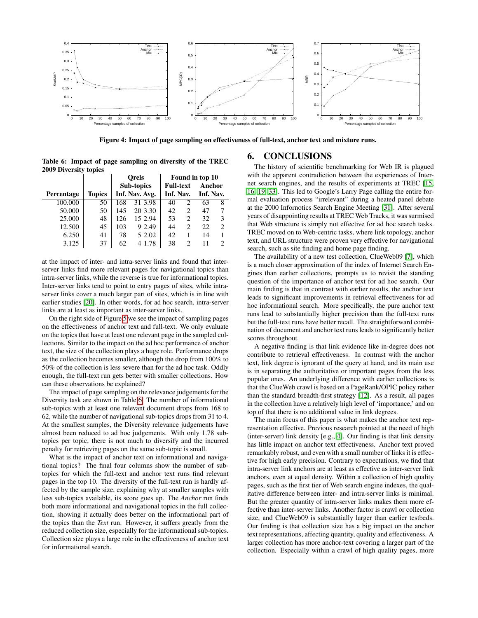

<span id="page-6-1"></span>Figure 4: Impact of page sampling on effectiveness of full-text, anchor text and mixture runs.

<span id="page-6-2"></span>Table 6: Impact of page sampling on diversity of the TREC 2009 Diversity topics

|            |               | Orels |                | Found in top 10  |                               |           |                             |
|------------|---------------|-------|----------------|------------------|-------------------------------|-----------|-----------------------------|
|            |               |       | Sub-topics     | <b>Full-text</b> |                               | Anchor    |                             |
| Percentage | <b>Topics</b> |       | Inf. Nav. Avg. | Inf. Nav.        |                               | Inf. Nav. |                             |
| 100.000    | 50            | 168   | 31 3.98        | 40               | 2                             | 63        | 8                           |
| 50.000     | 50            | 145   | 20 3.30        | 42               | $\mathcal{D}_{\mathcal{A}}$   | 47        |                             |
| 25.000     | 48            | 126   | 15 2.94        | 53               | 2                             | 32        | 3                           |
| 12.500     | 45            | 103   | 9 2.49         | 44               | 2                             | 22        | 2                           |
| 6.250      | 41            | 78    | 5 2.02         | 42               |                               | 14        |                             |
| 3.125      | 37            | 62    | 4 1.78         | 38               | $\mathfrak{D}_{\mathfrak{p}}$ | 11        | $\mathcal{D}_{\mathcal{L}}$ |

at the impact of inter- and intra-server links and found that interserver links find more relevant pages for navigational topics than intra-server links, while the reverse is true for informational topics. Inter-server links tend to point to entry pages of sites, while intraserver links cover a much larger part of sites, which is in line with earlier studies [\[20\]](#page-7-33). In other words, for ad hoc search, intra-server links are at least as important as inter-server links.

On the right side of Figure [5](#page-5-2) we see the impact of sampling pages on the effectiveness of anchor text and full-text. We only evaluate on the topics that have at least one relevant page in the sampled collections. Similar to the impact on the ad hoc performance of anchor text, the size of the collection plays a huge role. Performance drops as the collection becomes smaller, although the drop from 100% to 50% of the collection is less severe than for the ad hoc task. Oddly enough, the full-text run gets better with smaller collections. How can these observations be explained?

The impact of page sampling on the relevance judgements for the Diversity task are shown in Table [6.](#page-6-2) The number of informational sub-topics with at least one relevant document drops from 168 to 62, while the number of navigational sub-topics drops from 31 to 4. At the smallest samples, the Diversity relevance judgements have almost been reduced to ad hoc judgements. With only 1.78 subtopics per topic, there is not much to diversify and the incurred penalty for retrieving pages on the same sub-topic is small.

What is the impact of anchor text on informational and navigational topics? The final four columns show the number of subtopics for which the full-text and anchor text runs find relevant pages in the top 10. The diversity of the full-text run is hardly affected by the sample size, explaining why at smaller samples with less sub-topics available, its score goes up. The *Anchor* run finds both more informational and navigational topics in the full collection, showing it actually does better on the informational part of the topics than the *Text* run. However, it suffers greatly from the reduced collection size, especially for the informational sub-topics. Collection size plays a large role in the effectiveness of anchor text for informational search.

## <span id="page-6-0"></span>**CONCLUSIONS**

The history of scientific benchmarking for Web IR is plagued with the apparent contradiction between the experiences of Internet search engines, and the results of experiments at TREC [\[15,](#page-7-4) [16,](#page-7-20) [19,](#page-7-2) [33\]](#page-7-5). This led to Google's Larry Page calling the entire formal evaluation process "irrelevant" during a heated panel debate at the 2000 Infornotics Search Engine Meeting [\[31\]](#page-7-34). After several years of disappointing results at TREC Web Tracks, it was surmised that Web structure is simply not effective for ad hoc search tasks. TREC moved on to Web-centric tasks, where link topology, anchor text, and URL structure were proven very effective for navigational search, such as site finding and home page finding.

The availability of a new test collection, ClueWeb09 [\[7\]](#page-7-14), which is a much closer approximation of the index of Internet Search Engines than earlier collections, prompts us to revisit the standing question of the importance of anchor text for ad hoc search. Our main finding is that in contrast with earlier results, the anchor text leads to significant improvements in retrieval effectiveness for ad hoc informational search. More specifically, the pure anchor text runs lead to substantially higher precision than the full-text runs but the full-text runs have better recall. The straightforward combination of document and anchor text runs leads to significantly better scores throughout.

A negative finding is that link evidence like in-degree does not contribute to retrieval effectiveness. In contrast with the anchor text, link degree is ignorant of the query at hand, and its main use is in separating the authoritative or important pages from the less popular ones. An underlying difference with earlier collections is that the ClueWeb crawl is based on a PageRank/OPIC policy rather than the standard breadth-first strategy [\[12\]](#page-7-23). As a result, all pages in the collection have a relatively high level of 'importance,' and on top of that there is no additional value in link degrees.

The main focus of this paper is what makes the anchor text representation effective. Previous research pointed at the need of high (inter-server) link density [e.g., [4\]](#page-7-3). Our finding is that link density has little impact on anchor text effectiveness. Anchor text proved remarkably robust, and even with a small number of links it is effective for high early precision. Contrary to expectations, we find that intra-server link anchors are at least as effective as inter-server link anchors, even at equal density. Within a collection of high quality pages, such as the first tier of Web search engine indexes, the qualitative difference between inter- and intra-server links is minimal. But the greater quantity of intra-server links makes them more effective than inter-server links. Another factor is crawl or collection size, and ClueWeb09 is substantially larger than earlier testbeds. Our finding is that collection size has a big impact on the anchor text representations, affecting quantity, quality and effectiveness. A larger collection has more anchor-text covering a larger part of the collection. Especially within a crawl of high quality pages, more